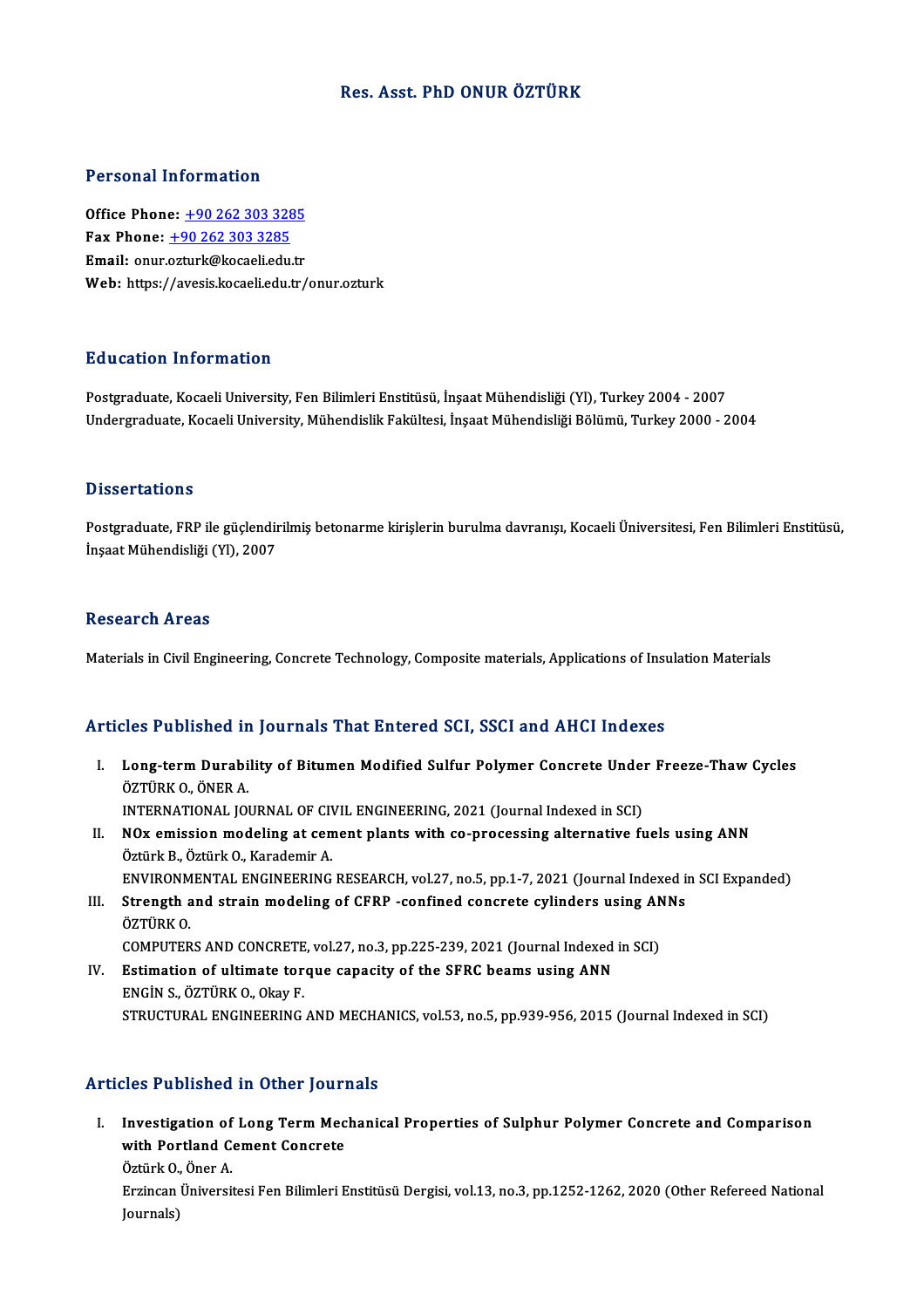### Res. Asst. PhD ONUR ÖZTÜRK

### Personal Information

**Personal Information<br>Office Phone: +90 262 303 3285<br>Fax Phone: +90 262 202 2225** 1 01001111 11101 1111011<br>
0ffice Phone: <u>+90 262 303 3285</u><br>
Fax Phone: <u>+90 262 303 3285</u> Office Phone: <u>+90 262 303 3285</u><br>Fax Phone: <u>+90 262 303 3285</u><br>Email: onur.[ozturk@kocaeli.edu.tr](tel:+90 262 303 3285)<br>Web: https://avesis.lossali.edu.tr Fax Phone: <u>+90 262 303 3285</u><br>Email: onur.ozturk@kocaeli.edu.tr<br>Web: https://avesis.kocaeli.edu.tr/onur.ozturk

### Education Information

Postgraduate, Kocaeli University, Fen Bilimleri Enstitüsü, İnşaat Mühendisliği (Yl), Turkey 2004 - 2007 Undergraduate, Kocaeli University, Mühendislik Fakültesi, İnşaat Mühendisliği Bölümü, Turkey 2000 - 2004

### **Dissertations**

Postgraduate, FRP ile güçlendirilmiş betonarme kirişlerin burulma davranışı, Kocaeli Üniversitesi, Fen Bilimleri Enstitüsü, İnşaat Mühendisliği (Yl), 2007

#### **Research Areas**

Materials in Civil Engineering, Concrete Technology, Composite materials, Applications of Insulation Materials

### Articles Published in Journals That Entered SCI, SSCI and AHCI Indexes

- rticles Published in Journals That Entered SCI, SSCI and AHCI Indexes<br>I. Long-term Durability of Bitumen Modified Sulfur Polymer Concrete Under Freeze-Thaw Cycles<br>ÖZTÜRK O. ÖNER A MOST WOMONOW<br>Long-term Durabi<br>ÖZTÜRK O., ÖNER A.<br>INTERNATIONAL JOI Long-term Durability of Bitumen Modified Sulfur Polymer Concrete Under<br>ÖZTÜRK O., ÖNER A.<br>INTERNATIONAL JOURNAL OF CIVIL ENGINEERING, 2021 (Journal Indexed in SCI)<br>NOv emission modeling at sement plants with se prosessing ÖZTÜRK O., ÖNER A.<br>INTERNATIONAL JOURNAL OF CIVIL ENGINEERING, 2021 (Journal Indexed in SCI)<br>II. NOx emission modeling at cement plants with co-processing alternative fuels using ANN<br>Öztürk B., Öztürk O., Karademir A. INTERNATIONAL JOURNAL OF CIVIL ENGINEERING, 2021 (Journal Indexed in SCI)
- NOx emission modeling at cement plants with co-processing alternative fuels using ANN<br>Öztürk B., Öztürk O., Karademir A.<br>ENVIRONMENTAL ENGINEERING RESEARCH, vol.27, no.5, pp.1-7, 2021 (Journal Indexed in SCI Expanded)<br>Stre Öztürk B., Öztürk O., Karademir A.<br>ENVIRONMENTAL ENGINEERING RESEARCH, vol.27, no.5, pp.1-7, 2021 (Journal Indexed in<br>III. Strength and strain modeling of CFRP -confined concrete cylinders using ANNs<br>ÖZTÜPK O.
- ENVIRONM<br>Strength a<br>ÖZTÜRK O.<br>COMPUTER III. Strength and strain modeling of CFRP -confined concrete cylinders using ANNs<br>ÖZTÜRK O.<br>COMPUTERS AND CONCRETE, vol.27, no.3, pp.225-239, 2021 (Journal Indexed in SCI)
- IV. Estimation of ultimate torque capacity of the SFRC beams using ANN ENGİNS.,ÖZTÜRKO.,OkayF. STRUCTURAL ENGINEERING AND MECHANICS, vol.53, no.5, pp.939-956, 2015 (Journal Indexed in SCI)

### Articles Published in Other Journals

rticles Published in Other Journals<br>I. Investigation of Long Term Mechanical Properties of Sulphur Polymer Concrete and Comparison<br>with Bortland Coment Concrete Investigation of Long Term Mec<br>With Portland Cement Concrete<br>Ortink O. Open A Investigation of<br>with Portland C<br>Öztürk O., Öner A.<br>Errinson Üniversi

with Portland Cement Concrete<br>Öztürk O., Öner A.<br>Erzincan Üniversitesi Fen Bilimleri Enstitüsü Dergisi, vol.13, no.3, pp.1252-1262, 2020 (Other Refereed National Journals)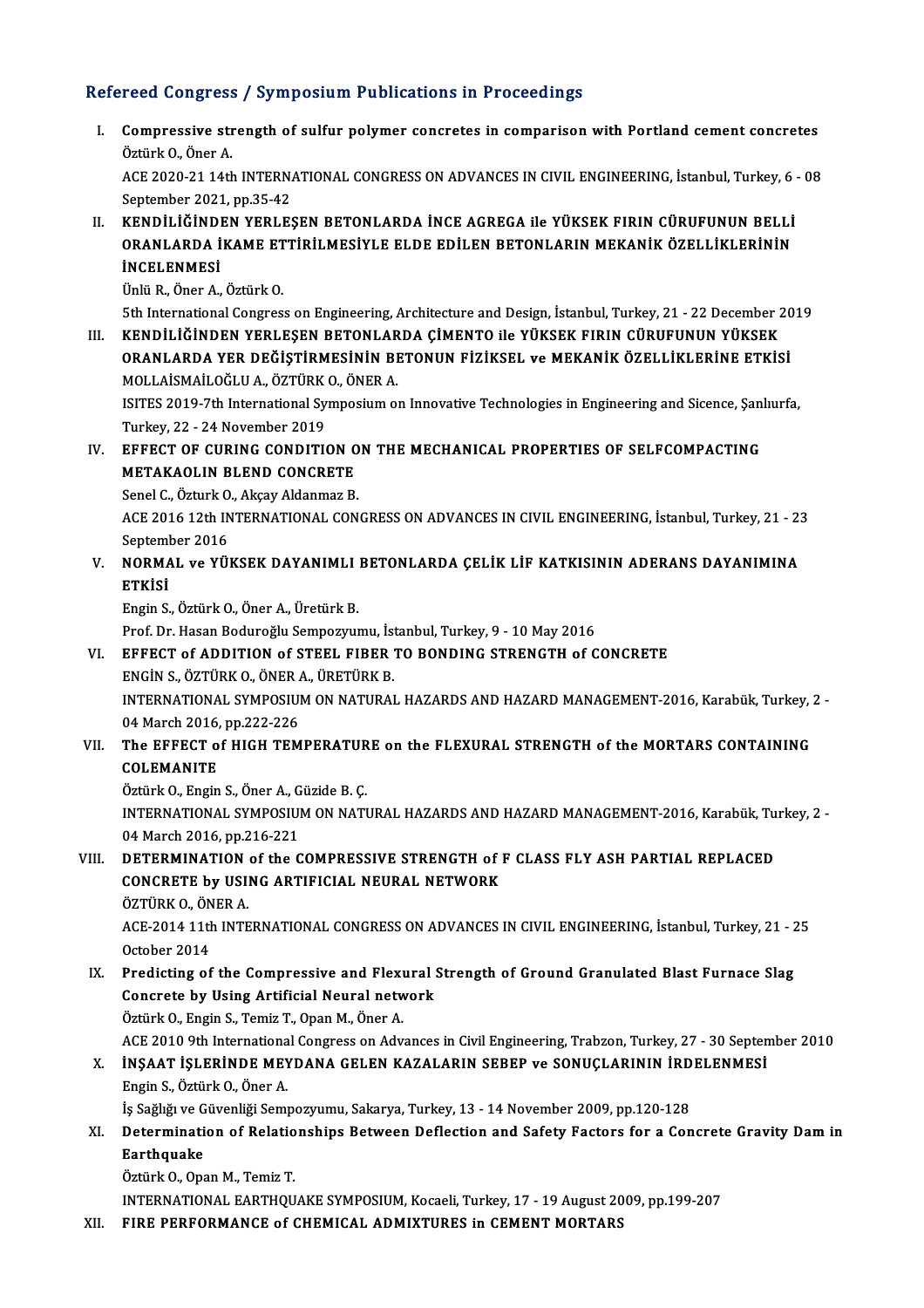### Refereed Congress / Symposium Publications in Proceedings

efereed Congress / Symposium Publications in Proceedings<br>I. Compressive strength of sulfur polymer concretes in comparison with Portland cement concretes<br>Östürk O. Öner A Compressive stra<br>Öztürk O., Öner A.<br>ACE 2020 21 14th Compressive strength of sulfur polymer concretes in comparison with Portland cement concretes<br>Öztürk O., Öner A.<br>ACE 2020-21 14th INTERNATIONAL CONGRESS ON ADVANCES IN CIVIL ENGINEERING, İstanbul, Turkey, 6 - 08<br>Sentember

Öztürk O., Öner A.<br>ACE 2020-21 14th INTERN.<br>September 2021, pp.35-42<br>KENDILLÖNDEN VERLES ACE 2020-21 14th INTERNATIONAL CONGRESS ON ADVANCES IN CIVIL ENGINEERING, İstanbul, Turkey, 6<br>September 2021, pp.35-42<br>II. KENDİLİĞİNDEN YERLEŞEN BETONLARDA İNCE AGREGA ile YÜKSEK FIRIN CÜRUFUNUN BELLİ<br>OPANLARDA İKAME ETTI

September 2021, pp.35-42<br>KENDİLİĞİNDEN YERLEŞEN BETONLARDA İNCE AGREGA ile YÜKSEK FIRIN CÜRUFUNUN BELLİ<br>ORANLARDA İKAME ETTİRİLMESİYLE ELDE EDİLEN BETONLARIN MEKANİK ÖZELLİKLERİNİN<br>İNCELENMESİ KENDİLİĞİNDI<br>ORANLARDA İ<br>İNCELENMESİ ORANLARDA İKAME ETTİRİLMESİYLE ELDE EDİLEN BETONLARIN MEKANİK ÖZELLİKLERİNİN<br>İNCELENMESİ<br>Ünlü R., Öner A., Öztürk O. INCELENMESI<br>Ünlü R., Öner A., Öztürk O.<br>5th International Congress on Engineering, Architecture and Design, İstanbul, Turkey, 21 - 22 December 2019<br>KENDILLÖİNDEN YERLESEN BETONLARDA GİMENTO ile YÜKSEK EIRIN GÜRLELINUN YÜKS

Ünlü R., Öner A., Öztürk O.<br>1991 - 5th International Congress on Engineering, Architecture and Design, İstanbul, Turkey, 21 - 22 December<br>1991 - III. KENDİLİĞİNDEN YERLEŞEN BETONLARDA ÇİMENTO ile YÜKSEK FIRIN CÜRUFUNUN YÜK KENDİLİĞİNDEN YERLEŞEN BETONLARDA ÇİMENTO ile YÜKSEK FIRIN CÜRUFUNUN YÜKSEK<br>ORANLARDA YER DEĞİŞTİRMESİNİN BETONUN FİZİKSEL ve MEKANİK ÖZELLİKLERİNE ETKİSİ KENDİLİĞİNDEN YERLEŞEN BETONLAR<br>ORANLARDA YER DEĞİŞTİRMESİNİN BI<br>MOLLAİSMAİLOĞLU A., ÖZTÜRK O., ÖNER A.<br>ISITES 2019 7th International Sumnosium ol ORANLARDA YER DEĞİŞTİRMESİNİN BETONUN FİZİKSEL ve MEKANİK ÖZELLİKLERİNE ETKİSİ<br>MOLLAİSMAİLOĞLU A., ÖZTÜRK O., ÖNER A.<br>ISITES 2019-7th International Symposium on Innovative Technologies in Engineering and Sicence, Şanlıurfa

MOLLAİSMAİLOĞLU A., ÖZTÜRK<br>ISITES 2019-7th International Sy<br>Turkey, 22 - 24 November 2019<br>EEEECT OE CUBINC CONDITI ISITES 2019-7th International Symposium on Innovative Technologies in Engineering and Sicence, Şan<br>Turkey, 22 - 24 November 2019<br>IV. EFFECT OF CURING CONDITION ON THE MECHANICAL PROPERTIES OF SELFCOMPACTING<br>METAKAOLIN BLEN

## Turkey, 22 - 24 November 2019<br>EFFECT OF CURING CONDITION C<br>METAKAOLIN BLEND CONCRETE<br>Sanal C. Özturk O. Akaay Aldanmaz B EFFECT OF CURING CONDITION O<br>METAKAOLIN BLEND CONCRETE<br>Senel C., Özturk O., Akçay Aldanmaz B.<br>ACE 2016 12th INTERNATIONAL CON

METAKAOLIN BLEND CONCRETE<br>Senel C., Özturk O., Akçay Aldanmaz B.<br>ACE 2016 12th INTERNATIONAL CONGRESS ON ADVANCES IN CIVIL ENGINEERING, İstanbul, Turkey, 21 - 23<br>Sentember 2016 Senel C., Özturk O<br>ACE 2016 12th IN<br>September 2016<br>NORMAL ve VÜ ACE 2016 12th INTERNATIONAL CONGRESS ON ADVANCES IN CIVIL ENGINEERING, İstanbul, Turkey, 21 - 2:<br>September 2016<br>V. NORMAL ve YÜKSEK DAYANIMLI BETONLARDA ÇELİK LİF KATKISININ ADERANS DAYANIMINA<br>ETVİSİ

## Septeml<br>NORMA<br>ETKİSİ NORMAL ve YÜKSEK DAYANIMLI<br>ETKİSİ<br>Engin S., Öztürk O., Öner A., Üretürk B.<br>Pref. Dr. Hasan Badurağlu Samnagyayı ETKİSİ<br>Engin S., Öztürk O., Öner A., Üretürk B.<br>Prof. Dr. Hasan Boduroğlu Sempozyumu, İstanbul, Turkey, 9 - 10 May 2016<br>EEEECT of ADDITION of STEFL EIRER TO PONDING STRENCTH of C

Engin S., Öztürk O., Öner A., Üretürk B.<br>Prof. Dr. Hasan Boduroğlu Sempozyumu, İstanbul, Turkey, 9 - 10 May 2016<br>VI. EFFECT of ADDITION of STEEL FIBER TO BONDING STRENGTH of CONCRETE<br>ENGIN S.. ÖZTÜRK O.. ÖNER A.. ÜRETÜRK B Prof. Dr. Hasan Boduroğlu Sempozyumu, İst<br>EFFECT of ADDITION of STEEL FIBER<br>ENGİN S., ÖZTÜRK O., ÖNER A., ÜRETÜRK B.<br>INTERNATIONAL SYMPOSUM ON NATURAL EFFECT of ADDITION of STEEL FIBER TO BONDING STRENGTH of CONCRETE<br>ENGIN S., ÖZTÜRK O., ÖNER A., ÜRETÜRK B.<br>INTERNATIONAL SYMPOSIUM ON NATURAL HAZARDS AND HAZARD MANAGEMENT-2016, Karabük, Turkey, 2 -<br>04 Marsh 2016, np.222,

ENGIN S., ÖZTÜRK O., ÖNER A<br>INTERNATIONAL SYMPOSIUI<br>04 March 2016, pp.222-226<br>The EEEECT of HICH TEM INTERNATIONAL SYMPOSIUM ON NATURAL HAZARDS AND HAZARD MANAGEMENT-2016, Karabük, Turkey, 1994<br>04 March 2016, pp.222-226<br>VII. The EFFECT of HIGH TEMPERATURE on the FLEXURAL STRENGTH of the MORTARS CONTAINING

# 04 March 2016, pp.222-226<br>VII. The EFFECT of HIGH TEMPERATURE on the FLEXURAL STRENGTH of the MORTARS CONTAINING<br>COLEMANITE

ÖztürkO.,EnginS.,ÖnerA.,GüzideB.Ç.

COLEMANITE<br>Öztürk O., Engin S., Öner A., Güzide B. Ç.<br>INTERNATIONAL SYMPOSIUM ON NATURAL HAZARDS AND HAZARD MANAGEMENT-2016, Karabük, Turkey, 2 -<br>04 Marsh 2016, np.316, 221 Öztürk O., Engin S., Öner A., G<br>INTERNATIONAL SYMPOSIUI<br>04 March 2016, pp.216-221<br>DETERMINATION of the C INTERNATIONAL SYMPOSIUM ON NATURAL HAZARDS AND HAZARD MANAGEMENT-2016, Karabük, Tu<br>04 March 2016, pp.216-221<br>VIII. DETERMINATION of the COMPRESSIVE STRENGTH of F CLASS FLY ASH PARTIAL REPLACED

### 04 March 2016, pp.216-221<br>VIII. DETERMINATION of the COMPRESSIVE STRENGTH of F CLASS FLY ASH PARTIAL REPLACED<br>CONCRETE by USING ARTIFICIAL NEURAL NETWORK<br>ÖZTÜRK 0., ÖNER A. CONCRETE by USING ARTIFICIAL NEURAL NETWORK CONCRETE by USING ARTIFICIAL NEURAL NETWORK<br>ÖZTÜRK 0., ÖNER A.<br>ACE-2014 11th INTERNATIONAL CONGRESS ON ADVANCES IN CIVIL ENGINEERING, İstanbul, Turkey, 21 - 25<br>Ostabar 2014

ÖZTÜRK O., ÖN<br>ACE-2014 11th<br>October 2014<br>Predicting of ACE-2014 11th INTERNATIONAL CONGRESS ON ADVANCES IN CIVIL ENGINEERING, İstanbul, Turkey, 21 - 2<br>October 2014<br>IX. Predicting of the Compressive and Flexural Strength of Ground Granulated Blast Furnace Slag<br>Congrate by Heing

October 2014<br>Predicting of the Compressive and Flexural :<br>Concrete by Using Artificial Neural network Predicting of the Compressive and Flexi<br>Concrete by Using Artificial Neural netwo<br>Öztürk O., Engin S., Temiz T., Opan M., Öner A. Concrete by Using Artificial Neural network<br>Öztürk O., Engin S., Temiz T., Opan M., Öner A.<br>ACE 2010 9th International Congress on Advances in Civil Engineering, Trabzon, Turkey, 27 - 30 September 2010<br>INSAAT ISLERINDE MEV Öztürk O., Engin S., Temiz T., Opan M., Öner A.<br>ACE 2010 9th International Congress on Advances in Civil Engineering, Trabzon, Turkey, 27 - 30 Septen<br>X. İNŞAAT İŞLERİNDE MEYDANA GELEN KAZALARIN SEBEP ve SONUÇLARININ İRDELE

## ACE 2010 9th Internationa<br>**İNŞAAT İŞLERİNDE MEY**<br>Engin S., Öztürk O., Öner A.<br>İs Seğliği ve Cüvenliği Semi İNŞAAT İŞLERİNDE MEYDANA GELEN KAZALARIN SEBEP ve SONUÇLARININ İRD<br>Engin S., Öztürk O., Öner A.<br>İş Sağlığı ve Güvenliği Sempozyumu, Sakarya, Turkey, 13 - 14 November 2009, pp.120-128<br>Determination of Belationshins Between

### Engin S., Öztürk O., Öner A.<br>İş Sağlığı ve Güvenliği Sempozyumu, Sakarya, Turkey, 13 - 14 November 2009, pp.120-128<br>XI. Determination of Relationships Between Deflection and Safety Factors for a Concrete Gravity Dam in İş Sağlığı ve G<br>Determinati<br>Earthquake Determination of Relatio<br>Earthquake<br>Öztürk O., Opan M., Temiz T.<br>INTERNATIONAL FARTHOU Earthquake<br>Öztürk O., Opan M., Temiz T.<br>INTERNATIONAL EARTHQUAKE SYMPOSIUM, Kocaeli, Turkey, 17 - 19 August 2009, pp.199-207

XII. FIRE PERFORMANCE of CHEMICAL ADMIXTURES in CEMENT MORTARS